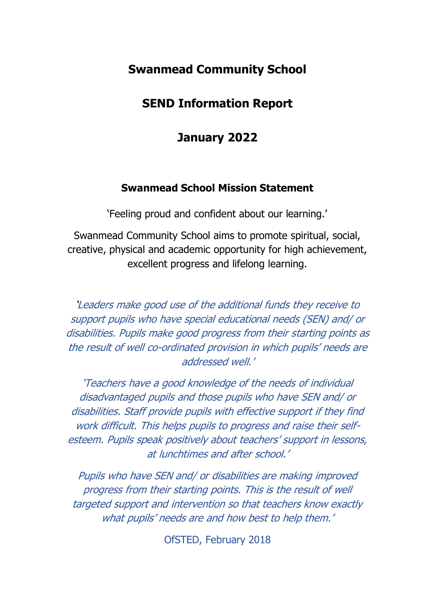# **Swanmead Community School**

# **SEND Information Report**

# **January 2022**

## **Swanmead School Mission Statement**

'Feeling proud and confident about our learning.'

Swanmead Community School aims to promote spiritual, social, creative, physical and academic opportunity for high achievement, excellent progress and lifelong learning.

'Leaders make good use of the additional funds they receive to support pupils who have special educational needs (SEN) and/ or disabilities. Pupils make good progress from their starting points as the result of well co-ordinated provision in which pupils' needs are addressed well.'

'Teachers have a good knowledge of the needs of individual disadvantaged pupils and those pupils who have SEN and/ or disabilities. Staff provide pupils with effective support if they find work difficult. This helps pupils to progress and raise their selfesteem. Pupils speak positively about teachers' support in lessons, at lunchtimes and after school.'

Pupils who have SEN and/ or disabilities are making improved progress from their starting points. This is the result of well targeted support and intervention so that teachers know exactly what pupils' needs are and how best to help them.'

OfSTED, February 2018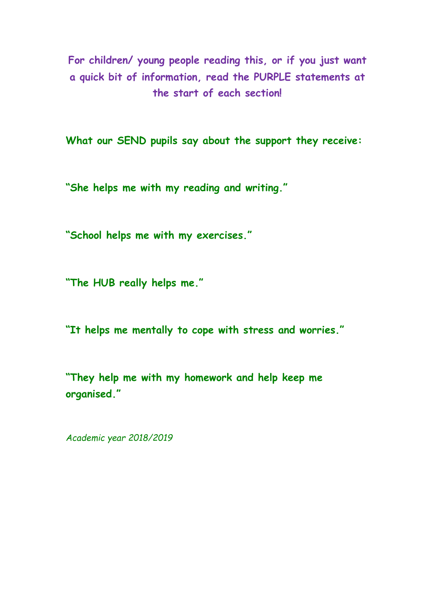**For children/ young people reading this, or if you just want a quick bit of information, read the PURPLE statements at the start of each section!**

**What our SEND pupils say about the support they receive:** 

**"She helps me with my reading and writing."**

**"School helps me with my exercises."**

**"The HUB really helps me."**

**"It helps me mentally to cope with stress and worries."**

**"They help me with my homework and help keep me organised."**

*Academic year 2018/2019*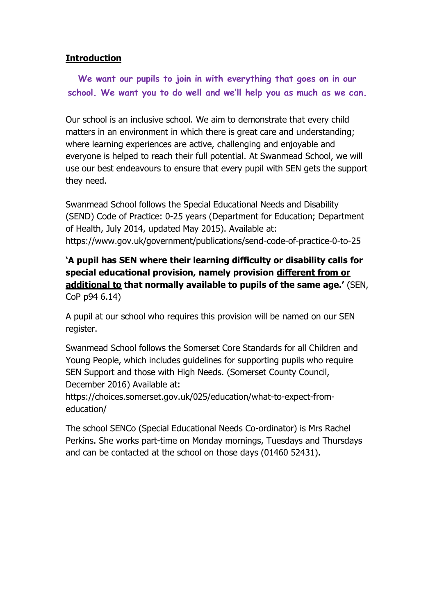### **Introduction**

**We want our pupils to join in with everything that goes on in our school. We want you to do well and we'll help you as much as we can.**

Our school is an inclusive school. We aim to demonstrate that every child matters in an environment in which there is great care and understanding; where learning experiences are active, challenging and enjoyable and everyone is helped to reach their full potential. At Swanmead School, we will use our best endeavours to ensure that every pupil with SEN gets the support they need.

Swanmead School follows the Special Educational Needs and Disability (SEND) Code of Practice: 0-25 years (Department for Education; Department of Health, July 2014, updated May 2015). Available at: https://www.gov.uk/government/publications/send-code-of-practice-0-to-25

## **'A pupil has SEN where their learning difficulty or disability calls for special educational provision, namely provision different from or additional to that normally available to pupils of the same age.'** (SEN, CoP p94 6.14)

A pupil at our school who requires this provision will be named on our SEN register.

Swanmead School follows the Somerset Core Standards for all Children and Young People, which includes guidelines for supporting pupils who require SEN Support and those with High Needs. (Somerset County Council, December 2016) Available at:

https://choices.somerset.gov.uk/025/education/what-to-expect-fromeducation/

The school SENCo (Special Educational Needs Co-ordinator) is Mrs Rachel Perkins. She works part-time on Monday mornings, Tuesdays and Thursdays and can be contacted at the school on those days (01460 52431).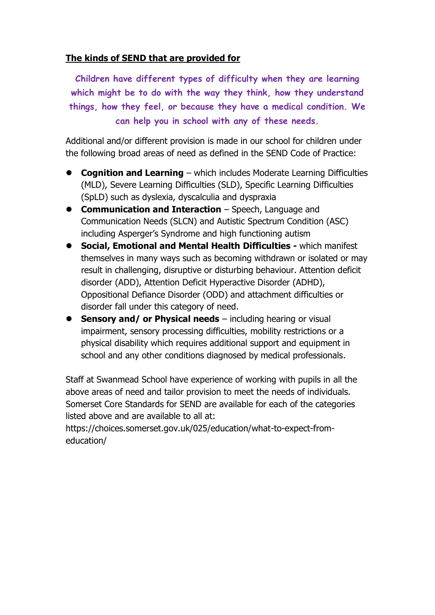### **The kinds of SEND that are provided for**

**Children have different types of difficulty when they are learning which might be to do with the way they think, how they understand things, how they feel, or because they have a medical condition. We can help you in school with any of these needs.**

Additional and/or different provision is made in our school for children under the following broad areas of need as defined in the SEND Code of Practice:

- ⚫ **Cognition and Learning** which includes Moderate Learning Difficulties (MLD), Severe Learning Difficulties (SLD), Specific Learning Difficulties (SpLD) such as dyslexia, dyscalculia and dyspraxia
- ⚫ **Communication and Interaction** Speech, Language and Communication Needs (SLCN) and Autistic Spectrum Condition (ASC) including Asperger's Syndrome and high functioning autism
- ⚫ **Social, Emotional and Mental Health Difficulties -** which manifest themselves in many ways such as becoming withdrawn or isolated or may result in challenging, disruptive or disturbing behaviour. Attention deficit disorder (ADD), Attention Deficit Hyperactive Disorder (ADHD), Oppositional Defiance Disorder (ODD) and attachment difficulties or disorder fall under this category of need.
- **Sensory and/ or Physical needs** including hearing or visual impairment, sensory processing difficulties, mobility restrictions or a physical disability which requires additional support and equipment in school and any other conditions diagnosed by medical professionals.

Staff at Swanmead School have experience of working with pupils in all the above areas of need and tailor provision to meet the needs of individuals. Somerset Core Standards for SEND are available for each of the categories listed above and are available to all at:

https://choices.somerset.gov.uk/025/education/what-to-expect-fromeducation/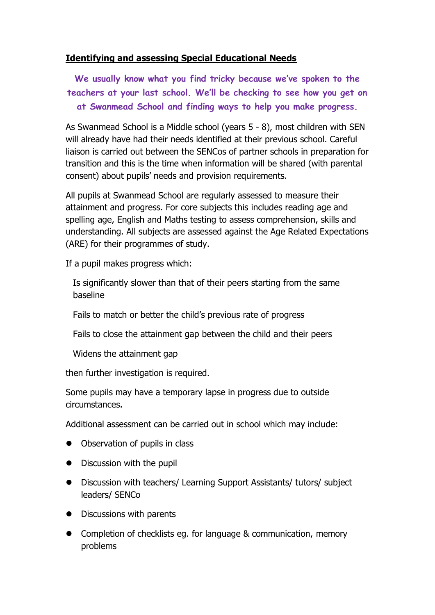### **Identifying and assessing Special Educational Needs**

**We usually know what you find tricky because we've spoken to the teachers at your last school. We'll be checking to see how you get on at Swanmead School and finding ways to help you make progress.**

As Swanmead School is a Middle school (years 5 - 8), most children with SEN will already have had their needs identified at their previous school. Careful liaison is carried out between the SENCos of partner schools in preparation for transition and this is the time when information will be shared (with parental consent) about pupils' needs and provision requirements.

All pupils at Swanmead School are regularly assessed to measure their attainment and progress. For core subjects this includes reading age and spelling age, English and Maths testing to assess comprehension, skills and understanding. All subjects are assessed against the Age Related Expectations (ARE) for their programmes of study.

If a pupil makes progress which:

Is significantly slower than that of their peers starting from the same baseline

Fails to match or better the child's previous rate of progress

Fails to close the attainment gap between the child and their peers

Widens the attainment gap

then further investigation is required.

Some pupils may have a temporary lapse in progress due to outside circumstances.

Additional assessment can be carried out in school which may include:

- ⚫ Observation of pupils in class
- ⚫ Discussion with the pupil
- Discussion with teachers/ Learning Support Assistants/ tutors/ subject leaders/ SENCo
- ⚫ Discussions with parents
- Completion of checklists eg. for language & communication, memory problems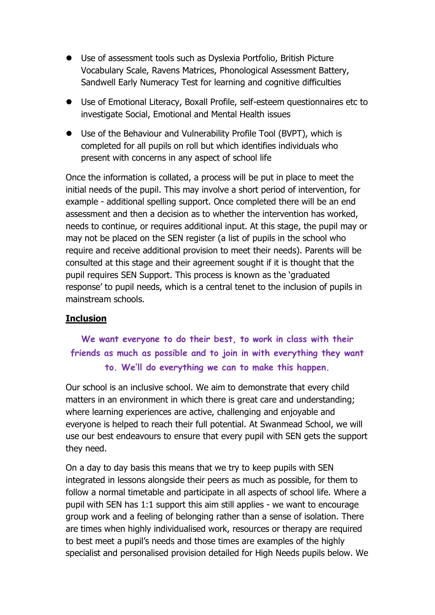- ⚫ Use of assessment tools such as Dyslexia Portfolio, British Picture Vocabulary Scale, Ravens Matrices, Phonological Assessment Battery, Sandwell Early Numeracy Test for learning and cognitive difficulties
- Use of Emotional Literacy, Boxall Profile, self-esteem questionnaires etc to investigate Social, Emotional and Mental Health issues
- Use of the Behaviour and Vulnerability Profile Tool (BVPT), which is completed for all pupils on roll but which identifies individuals who present with concerns in any aspect of school life

Once the information is collated, a process will be put in place to meet the initial needs of the pupil. This may involve a short period of intervention, for example - additional spelling support. Once completed there will be an end assessment and then a decision as to whether the intervention has worked, needs to continue, or requires additional input. At this stage, the pupil may or may not be placed on the SEN register (a list of pupils in the school who require and receive additional provision to meet their needs). Parents will be consulted at this stage and their agreement sought if it is thought that the pupil requires SEN Support. This process is known as the 'graduated response' to pupil needs, which is a central tenet to the inclusion of pupils in mainstream schools.

#### **Inclusion**

## **We want everyone to do their best, to work in class with their friends as much as possible and to join in with everything they want to. We'll do everything we can to make this happen.**

Our school is an inclusive school. We aim to demonstrate that every child matters in an environment in which there is great care and understanding; where learning experiences are active, challenging and enjoyable and everyone is helped to reach their full potential. At Swanmead School, we will use our best endeavours to ensure that every pupil with SEN gets the support they need.

On a day to day basis this means that we try to keep pupils with SEN integrated in lessons alongside their peers as much as possible, for them to follow a normal timetable and participate in all aspects of school life. Where a pupil with SEN has 1:1 support this aim still applies - we want to encourage group work and a feeling of belonging rather than a sense of isolation. There are times when highly individualised work, resources or therapy are required to best meet a pupil's needs and those times are examples of the highly specialist and personalised provision detailed for High Needs pupils below. We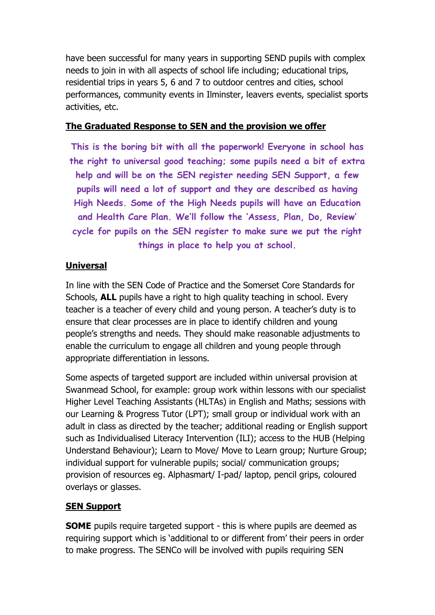have been successful for many years in supporting SEND pupils with complex needs to join in with all aspects of school life including; educational trips, residential trips in years 5, 6 and 7 to outdoor centres and cities, school performances, community events in Ilminster, leavers events, specialist sports activities, etc.

#### **The Graduated Response to SEN and the provision we offer**

**This is the boring bit with all the paperwork! Everyone in school has the right to universal good teaching; some pupils need a bit of extra help and will be on the SEN register needing SEN Support, a few pupils will need a lot of support and they are described as having High Needs. Some of the High Needs pupils will have an Education and Health Care Plan. We'll follow the 'Assess, Plan, Do, Review' cycle for pupils on the SEN register to make sure we put the right things in place to help you at school.**

## **Universal**

In line with the SEN Code of Practice and the Somerset Core Standards for Schools, **ALL** pupils have a right to high quality teaching in school. Every teacher is a teacher of every child and young person. A teacher's duty is to ensure that clear processes are in place to identify children and young people's strengths and needs. They should make reasonable adjustments to enable the curriculum to engage all children and young people through appropriate differentiation in lessons.

Some aspects of targeted support are included within universal provision at Swanmead School, for example: group work within lessons with our specialist Higher Level Teaching Assistants (HLTAs) in English and Maths; sessions with our Learning & Progress Tutor (LPT); small group or individual work with an adult in class as directed by the teacher; additional reading or English support such as Individualised Literacy Intervention (ILI); access to the HUB (Helping Understand Behaviour); Learn to Move/ Move to Learn group; Nurture Group; individual support for vulnerable pupils; social/ communication groups; provision of resources eg. Alphasmart/ I-pad/ laptop, pencil grips, coloured overlays or glasses.

## **SEN Support**

**SOME** pupils require targeted support - this is where pupils are deemed as requiring support which is 'additional to or different from' their peers in order to make progress. The SENCo will be involved with pupils requiring SEN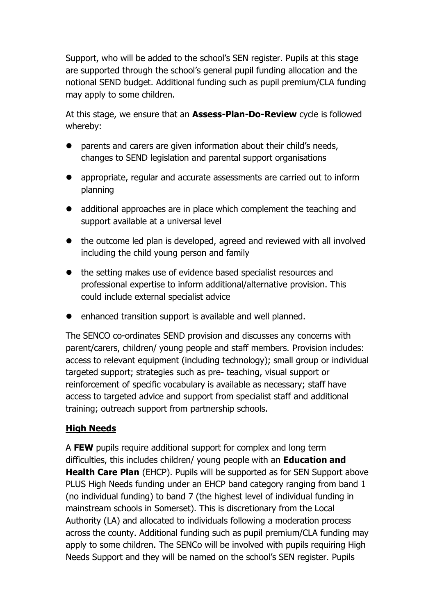Support, who will be added to the school's SEN register. Pupils at this stage are supported through the school's general pupil funding allocation and the notional SEND budget. Additional funding such as pupil premium/CLA funding may apply to some children.

At this stage, we ensure that an **Assess-Plan-Do-Review** cycle is followed whereby:

- parents and carers are given information about their child's needs, changes to SEND legislation and parental support organisations
- ⚫ appropriate, regular and accurate assessments are carried out to inform planning
- additional approaches are in place which complement the teaching and support available at a universal level
- the outcome led plan is developed, agreed and reviewed with all involved including the child young person and family
- ⚫ the setting makes use of evidence based specialist resources and professional expertise to inform additional/alternative provision. This could include external specialist advice
- ⚫ enhanced transition support is available and well planned.

The SENCO co-ordinates SEND provision and discusses any concerns with parent/carers, children/ young people and staff members. Provision includes: access to relevant equipment (including technology); small group or individual targeted support; strategies such as pre- teaching, visual support or reinforcement of specific vocabulary is available as necessary; staff have access to targeted advice and support from specialist staff and additional training; outreach support from partnership schools.

## **High Needs**

A **FEW** pupils require additional support for complex and long term difficulties, this includes children/ young people with an **Education and Health Care Plan** (EHCP). Pupils will be supported as for SEN Support above PLUS High Needs funding under an EHCP band category ranging from band 1 (no individual funding) to band 7 (the highest level of individual funding in mainstream schools in Somerset). This is discretionary from the Local Authority (LA) and allocated to individuals following a moderation process across the county. Additional funding such as pupil premium/CLA funding may apply to some children. The SENCo will be involved with pupils requiring High Needs Support and they will be named on the school's SEN register. Pupils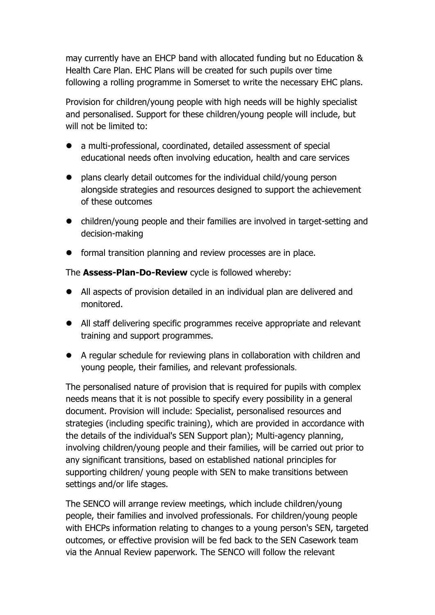may currently have an EHCP band with allocated funding but no Education & Health Care Plan. EHC Plans will be created for such pupils over time following a rolling programme in Somerset to write the necessary EHC plans.

Provision for children/young people with high needs will be highly specialist and personalised. Support for these children/young people will include, but will not be limited to:

- ⚫ a multi-professional, coordinated, detailed assessment of special educational needs often involving education, health and care services
- ⚫ plans clearly detail outcomes for the individual child/young person alongside strategies and resources designed to support the achievement of these outcomes
- ⚫ children/young people and their families are involved in target-setting and decision-making
- ⚫ formal transition planning and review processes are in place.

The **Assess-Plan-Do-Review** cycle is followed whereby:

- ⚫ All aspects of provision detailed in an individual plan are delivered and monitored.
- ⚫ All staff delivering specific programmes receive appropriate and relevant training and support programmes.
- ⚫ A regular schedule for reviewing plans in collaboration with children and young people, their families, and relevant professionals.

The personalised nature of provision that is required for pupils with complex needs means that it is not possible to specify every possibility in a general document. Provision will include: Specialist, personalised resources and strategies (including specific training), which are provided in accordance with the details of the individual's SEN Support plan); Multi-agency planning, involving children/young people and their families, will be carried out prior to any significant transitions, based on established national principles for supporting children/ young people with SEN to make transitions between settings and/or life stages.

The SENCO will arrange review meetings, which include children/young people, their families and involved professionals. For children/young people with EHCPs information relating to changes to a young person's SEN, targeted outcomes, or effective provision will be fed back to the SEN Casework team via the Annual Review paperwork. The SENCO will follow the relevant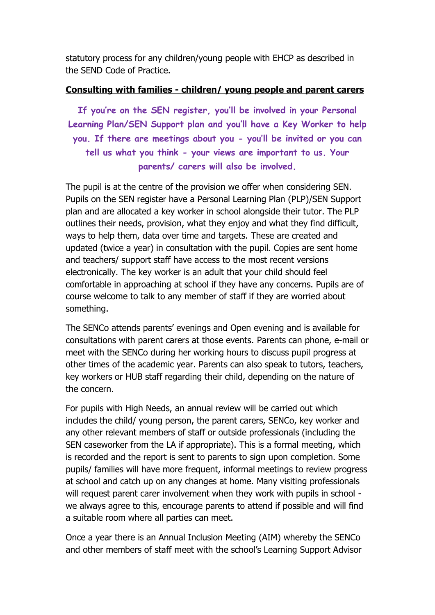statutory process for any children/young people with EHCP as described in the SEND Code of Practice.

#### **Consulting with families - children/ young people and parent carers**

**If you're on the SEN register, you'll be involved in your Personal Learning Plan/SEN Support plan and you'll have a Key Worker to help you. If there are meetings about you - you'll be invited or you can tell us what you think - your views are important to us. Your parents/ carers will also be involved.** 

The pupil is at the centre of the provision we offer when considering SEN. Pupils on the SEN register have a Personal Learning Plan (PLP)/SEN Support plan and are allocated a key worker in school alongside their tutor. The PLP outlines their needs, provision, what they enjoy and what they find difficult, ways to help them, data over time and targets. These are created and updated (twice a year) in consultation with the pupil. Copies are sent home and teachers/ support staff have access to the most recent versions electronically. The key worker is an adult that your child should feel comfortable in approaching at school if they have any concerns. Pupils are of course welcome to talk to any member of staff if they are worried about something.

The SENCo attends parents' evenings and Open evening and is available for consultations with parent carers at those events. Parents can phone, e-mail or meet with the SENCo during her working hours to discuss pupil progress at other times of the academic year. Parents can also speak to tutors, teachers, key workers or HUB staff regarding their child, depending on the nature of the concern.

For pupils with High Needs, an annual review will be carried out which includes the child/ young person, the parent carers, SENCo, key worker and any other relevant members of staff or outside professionals (including the SEN caseworker from the LA if appropriate). This is a formal meeting, which is recorded and the report is sent to parents to sign upon completion. Some pupils/ families will have more frequent, informal meetings to review progress at school and catch up on any changes at home. Many visiting professionals will request parent carer involvement when they work with pupils in school we always agree to this, encourage parents to attend if possible and will find a suitable room where all parties can meet.

Once a year there is an Annual Inclusion Meeting (AIM) whereby the SENCo and other members of staff meet with the school's Learning Support Advisor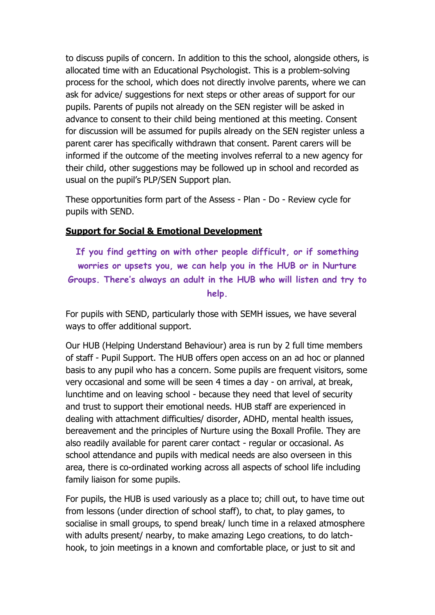to discuss pupils of concern. In addition to this the school, alongside others, is allocated time with an Educational Psychologist. This is a problem-solving process for the school, which does not directly involve parents, where we can ask for advice/ suggestions for next steps or other areas of support for our pupils. Parents of pupils not already on the SEN register will be asked in advance to consent to their child being mentioned at this meeting. Consent for discussion will be assumed for pupils already on the SEN register unless a parent carer has specifically withdrawn that consent. Parent carers will be informed if the outcome of the meeting involves referral to a new agency for their child, other suggestions may be followed up in school and recorded as usual on the pupil's PLP/SEN Support plan.

These opportunities form part of the Assess - Plan - Do - Review cycle for pupils with SEND.

#### **Support for Social & Emotional Development**

**If you find getting on with other people difficult, or if something worries or upsets you, we can help you in the HUB or in Nurture Groups. There's always an adult in the HUB who will listen and try to help.**

For pupils with SEND, particularly those with SEMH issues, we have several ways to offer additional support.

Our HUB (Helping Understand Behaviour) area is run by 2 full time members of staff - Pupil Support. The HUB offers open access on an ad hoc or planned basis to any pupil who has a concern. Some pupils are frequent visitors, some very occasional and some will be seen 4 times a day - on arrival, at break, lunchtime and on leaving school - because they need that level of security and trust to support their emotional needs. HUB staff are experienced in dealing with attachment difficulties/ disorder, ADHD, mental health issues, bereavement and the principles of Nurture using the Boxall Profile. They are also readily available for parent carer contact - regular or occasional. As school attendance and pupils with medical needs are also overseen in this area, there is co-ordinated working across all aspects of school life including family liaison for some pupils.

For pupils, the HUB is used variously as a place to; chill out, to have time out from lessons (under direction of school staff), to chat, to play games, to socialise in small groups, to spend break/ lunch time in a relaxed atmosphere with adults present/ nearby, to make amazing Lego creations, to do latchhook, to join meetings in a known and comfortable place, or just to sit and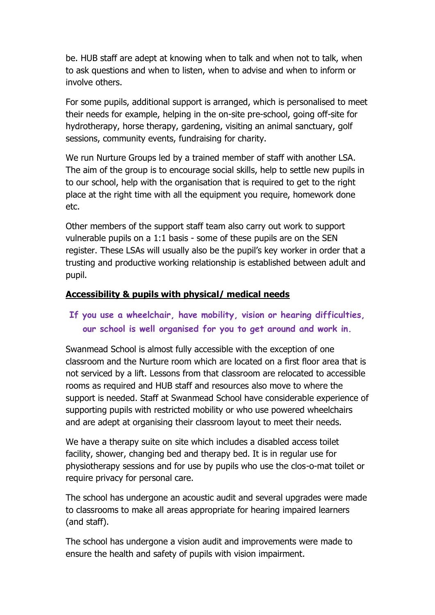be. HUB staff are adept at knowing when to talk and when not to talk, when to ask questions and when to listen, when to advise and when to inform or involve others.

For some pupils, additional support is arranged, which is personalised to meet their needs for example, helping in the on-site pre-school, going off-site for hydrotherapy, horse therapy, gardening, visiting an animal sanctuary, golf sessions, community events, fundraising for charity.

We run Nurture Groups led by a trained member of staff with another LSA. The aim of the group is to encourage social skills, help to settle new pupils in to our school, help with the organisation that is required to get to the right place at the right time with all the equipment you require, homework done etc.

Other members of the support staff team also carry out work to support vulnerable pupils on a 1:1 basis - some of these pupils are on the SEN register. These LSAs will usually also be the pupil's key worker in order that a trusting and productive working relationship is established between adult and pupil.

### **Accessibility & pupils with physical/ medical needs**

## **If you use a wheelchair, have mobility, vision or hearing difficulties, our school is well organised for you to get around and work in.**

Swanmead School is almost fully accessible with the exception of one classroom and the Nurture room which are located on a first floor area that is not serviced by a lift. Lessons from that classroom are relocated to accessible rooms as required and HUB staff and resources also move to where the support is needed. Staff at Swanmead School have considerable experience of supporting pupils with restricted mobility or who use powered wheelchairs and are adept at organising their classroom layout to meet their needs.

We have a therapy suite on site which includes a disabled access toilet facility, shower, changing bed and therapy bed. It is in regular use for physiotherapy sessions and for use by pupils who use the clos-o-mat toilet or require privacy for personal care.

The school has undergone an acoustic audit and several upgrades were made to classrooms to make all areas appropriate for hearing impaired learners (and staff).

The school has undergone a vision audit and improvements were made to ensure the health and safety of pupils with vision impairment.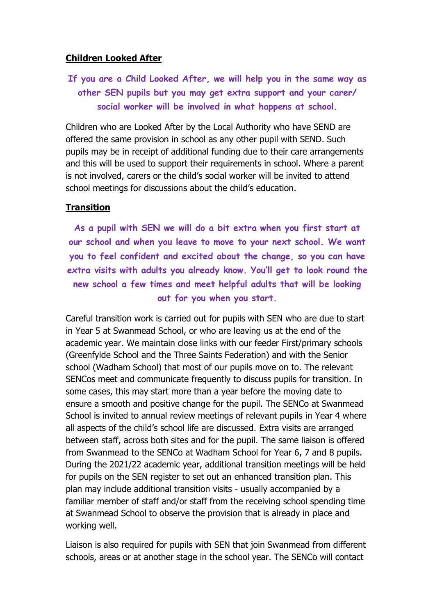#### **Children Looked After**

**If you are a Child Looked After, we will help you in the same way as other SEN pupils but you may get extra support and your carer/ social worker will be involved in what happens at school.** 

Children who are Looked After by the Local Authority who have SEND are offered the same provision in school as any other pupil with SEND. Such pupils may be in receipt of additional funding due to their care arrangements and this will be used to support their requirements in school. Where a parent is not involved, carers or the child's social worker will be invited to attend school meetings for discussions about the child's education.

#### **Transition**

**As a pupil with SEN we will do a bit extra when you first start at our school and when you leave to move to your next school. We want you to feel confident and excited about the change, so you can have extra visits with adults you already know. You'll get to look round the new school a few times and meet helpful adults that will be looking out for you when you start.** 

Careful transition work is carried out for pupils with SEN who are due to start in Year 5 at Swanmead School, or who are leaving us at the end of the academic year. We maintain close links with our feeder First/primary schools (Greenfylde School and the Three Saints Federation) and with the Senior school (Wadham School) that most of our pupils move on to. The relevant SENCos meet and communicate frequently to discuss pupils for transition. In some cases, this may start more than a year before the moving date to ensure a smooth and positive change for the pupil. The SENCo at Swanmead School is invited to annual review meetings of relevant pupils in Year 4 where all aspects of the child's school life are discussed. Extra visits are arranged between staff, across both sites and for the pupil. The same liaison is offered from Swanmead to the SENCo at Wadham School for Year 6, 7 and 8 pupils. During the 2021/22 academic year, additional transition meetings will be held for pupils on the SEN register to set out an enhanced transition plan. This plan may include additional transition visits - usually accompanied by a familiar member of staff and/or staff from the receiving school spending time at Swanmead School to observe the provision that is already in place and working well.

Liaison is also required for pupils with SEN that join Swanmead from different schools, areas or at another stage in the school year. The SENCo will contact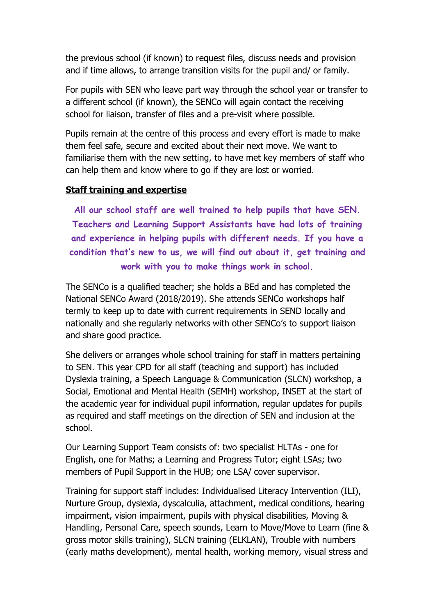the previous school (if known) to request files, discuss needs and provision and if time allows, to arrange transition visits for the pupil and/ or family.

For pupils with SEN who leave part way through the school year or transfer to a different school (if known), the SENCo will again contact the receiving school for liaison, transfer of files and a pre-visit where possible.

Pupils remain at the centre of this process and every effort is made to make them feel safe, secure and excited about their next move. We want to familiarise them with the new setting, to have met key members of staff who can help them and know where to go if they are lost or worried.

### **Staff training and expertise**

**All our school staff are well trained to help pupils that have SEN. Teachers and Learning Support Assistants have had lots of training and experience in helping pupils with different needs. If you have a condition that's new to us, we will find out about it, get training and work with you to make things work in school.** 

The SENCo is a qualified teacher; she holds a BEd and has completed the National SENCo Award (2018/2019). She attends SENCo workshops half termly to keep up to date with current requirements in SEND locally and nationally and she regularly networks with other SENCo's to support liaison and share good practice.

She delivers or arranges whole school training for staff in matters pertaining to SEN. This year CPD for all staff (teaching and support) has included Dyslexia training, a Speech Language & Communication (SLCN) workshop, a Social, Emotional and Mental Health (SEMH) workshop, INSET at the start of the academic year for individual pupil information, regular updates for pupils as required and staff meetings on the direction of SEN and inclusion at the school.

Our Learning Support Team consists of: two specialist HLTAs - one for English, one for Maths; a Learning and Progress Tutor; eight LSAs; two members of Pupil Support in the HUB; one LSA/ cover supervisor.

Training for support staff includes: Individualised Literacy Intervention (ILI), Nurture Group, dyslexia, dyscalculia, attachment, medical conditions, hearing impairment, vision impairment, pupils with physical disabilities, Moving & Handling, Personal Care, speech sounds, Learn to Move/Move to Learn (fine & gross motor skills training), SLCN training (ELKLAN), Trouble with numbers (early maths development), mental health, working memory, visual stress and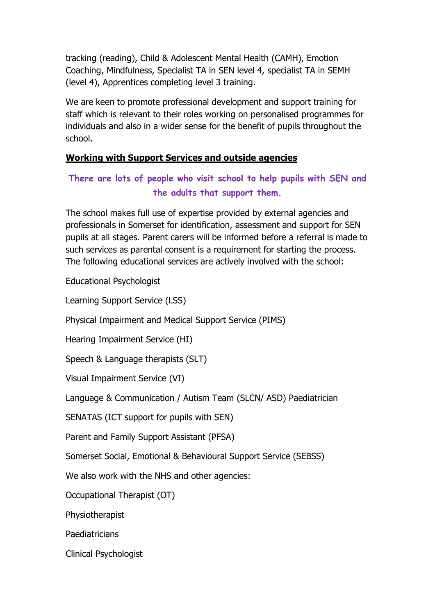tracking (reading), Child & Adolescent Mental Health (CAMH), Emotion Coaching, Mindfulness, Specialist TA in SEN level 4, specialist TA in SEMH (level 4), Apprentices completing level 3 training.

We are keen to promote professional development and support training for staff which is relevant to their roles working on personalised programmes for individuals and also in a wider sense for the benefit of pupils throughout the school.

## **Working with Support Services and outside agencies**

## **There are lots of people who visit school to help pupils with SEN and the adults that support them.**

The school makes full use of expertise provided by external agencies and professionals in Somerset for identification, assessment and support for SEN pupils at all stages. Parent carers will be informed before a referral is made to such services as parental consent is a requirement for starting the process. The following educational services are actively involved with the school:

Educational Psychologist

Learning Support Service (LSS)

Physical Impairment and Medical Support Service (PIMS)

Hearing Impairment Service (HI)

Speech & Language therapists (SLT)

Visual Impairment Service (VI)

Language & Communication / Autism Team (SLCN/ ASD) Paediatrician

SENATAS (ICT support for pupils with SEN)

Parent and Family Support Assistant (PFSA)

Somerset Social, Emotional & Behavioural Support Service (SEBSS)

We also work with the NHS and other agencies:

Occupational Therapist (OT)

Physiotherapist

**Paediatricians** 

Clinical Psychologist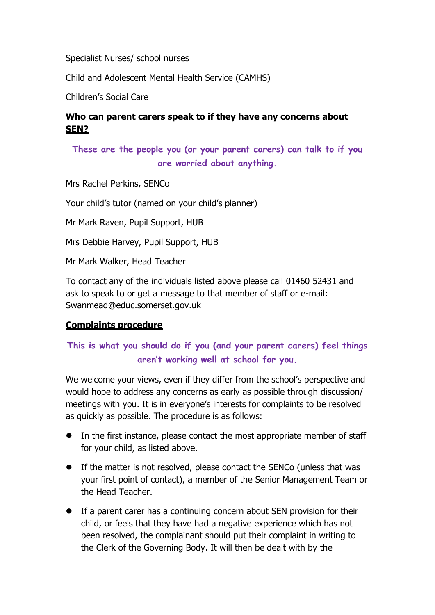Specialist Nurses/ school nurses

Child and Adolescent Mental Health Service (CAMHS)

Children's Social Care

## **Who can parent carers speak to if they have any concerns about SEN?**

## **These are the people you (or your parent carers) can talk to if you are worried about anything.**

Mrs Rachel Perkins, SENCo

Your child's tutor (named on your child's planner)

Mr Mark Raven, Pupil Support, HUB

Mrs Debbie Harvey, Pupil Support, HUB

Mr Mark Walker, Head Teacher

To contact any of the individuals listed above please call 01460 52431 and ask to speak to or get a message to that member of staff or e-mail: Swanmead@educ.somerset.gov.uk

#### **Complaints procedure**

## **This is what you should do if you (and your parent carers) feel things aren't working well at school for you.**

We welcome your views, even if they differ from the school's perspective and would hope to address any concerns as early as possible through discussion/ meetings with you. It is in everyone's interests for complaints to be resolved as quickly as possible. The procedure is as follows:

- ⚫ In the first instance, please contact the most appropriate member of staff for your child, as listed above.
- ⚫ If the matter is not resolved, please contact the SENCo (unless that was your first point of contact), a member of the Senior Management Team or the Head Teacher.
- ⚫ If a parent carer has a continuing concern about SEN provision for their child, or feels that they have had a negative experience which has not been resolved, the complainant should put their complaint in writing to the Clerk of the Governing Body. It will then be dealt with by the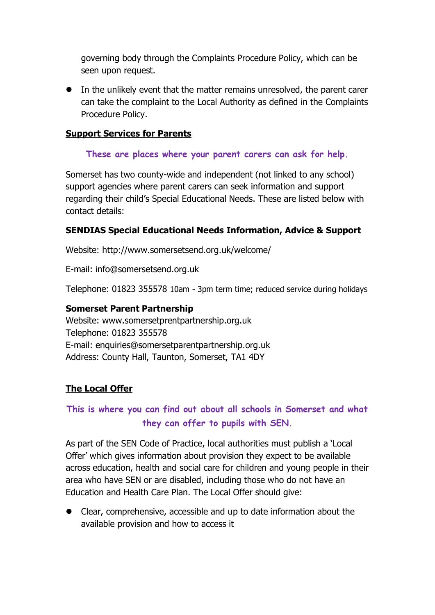governing body through the Complaints Procedure Policy, which can be seen upon request.

⚫ In the unlikely event that the matter remains unresolved, the parent carer can take the complaint to the Local Authority as defined in the Complaints Procedure Policy.

#### **Support Services for Parents**

#### **These are places where your parent carers can ask for help.**

Somerset has two county-wide and independent (not linked to any school) support agencies where parent carers can seek information and support regarding their child's Special Educational Needs. These are listed below with contact details:

### **SENDIAS Special Educational Needs Information, Advice & Support**

Website: http://www.somersetsend.org.uk/welcome/

E-mail: info@somersetsend.org.uk

Telephone: 01823 355578 10am - 3pm term time; reduced service during holidays

#### **Somerset Parent Partnership**

Website: www.somersetprentpartnership.org.uk Telephone: 01823 355578 E-mail: enquiries@somersetparentpartnership.org.uk Address: County Hall, Taunton, Somerset, TA1 4DY

## **The Local Offer**

## **This is where you can find out about all schools in Somerset and what they can offer to pupils with SEN.**

As part of the SEN Code of Practice, local authorities must publish a 'Local Offer' which gives information about provision they expect to be available across education, health and social care for children and young people in their area who have SEN or are disabled, including those who do not have an Education and Health Care Plan. The Local Offer should give:

⚫ Clear, comprehensive, accessible and up to date information about the available provision and how to access it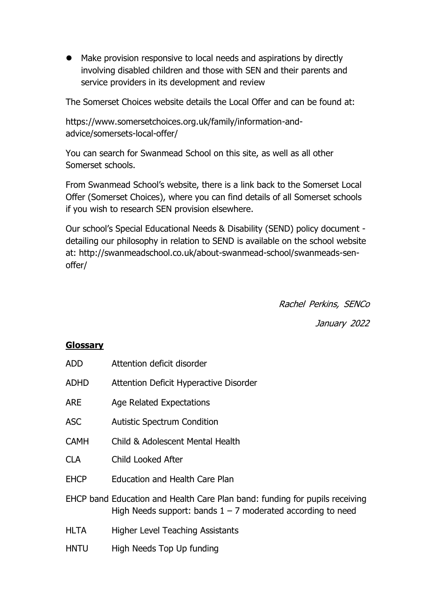⚫ Make provision responsive to local needs and aspirations by directly involving disabled children and those with SEN and their parents and service providers in its development and review

The Somerset Choices website details the Local Offer and can be found at:

https://www.somersetchoices.org.uk/family/information-andadvice/somersets-local-offer/

You can search for Swanmead School on this site, as well as all other Somerset schools.

From Swanmead School's website, there is a link back to the Somerset Local Offer (Somerset Choices), where you can find details of all Somerset schools if you wish to research SEN provision elsewhere.

Our school's Special Educational Needs & Disability (SEND) policy document detailing our philosophy in relation to SEND is available on the school website at: http://swanmeadschool.co.uk/about-swanmead-school/swanmeads-senoffer/

Rachel Perkins, SENCo

January 2022

#### **Glossary**

| <b>ADD</b>  | Attention deficit disorder                                                                                                                   |
|-------------|----------------------------------------------------------------------------------------------------------------------------------------------|
| <b>ADHD</b> | Attention Deficit Hyperactive Disorder                                                                                                       |
| <b>ARE</b>  | <b>Age Related Expectations</b>                                                                                                              |
| <b>ASC</b>  | <b>Autistic Spectrum Condition</b>                                                                                                           |
| <b>CAMH</b> | Child & Adolescent Mental Health                                                                                                             |
| <b>CLA</b>  | <b>Child Looked After</b>                                                                                                                    |
| <b>EHCP</b> | <b>Education and Health Care Plan</b>                                                                                                        |
|             | EHCP band Education and Health Care Plan band: funding for pupils receiving<br>High Needs support: bands $1 - 7$ moderated according to need |
| <b>HLTA</b> | <b>Higher Level Teaching Assistants</b>                                                                                                      |
| <b>HNTU</b> | High Needs Top Up funding                                                                                                                    |